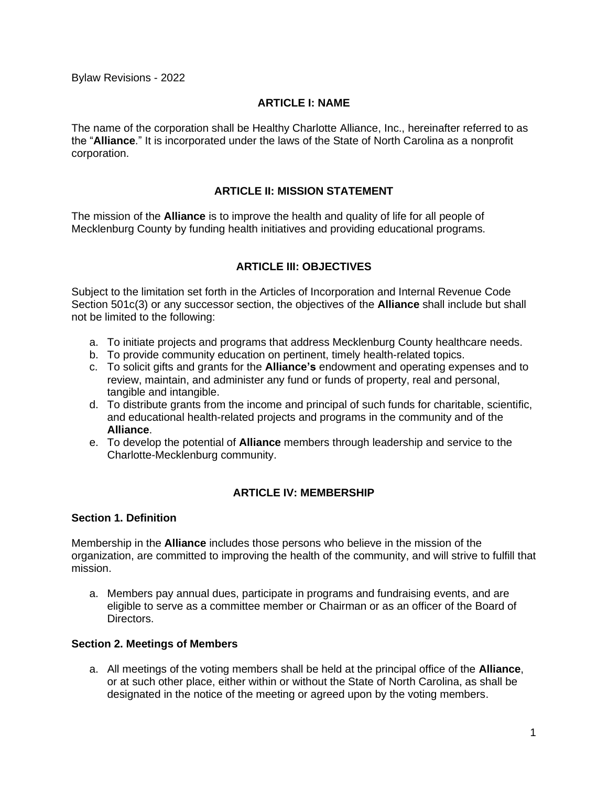Bylaw Revisions - 2022

#### **ARTICLE I: NAME**

The name of the corporation shall be Healthy Charlotte Alliance, Inc., hereinafter referred to as the "**Alliance**." It is incorporated under the laws of the State of North Carolina as a nonprofit corporation.

## **ARTICLE II: MISSION STATEMENT**

The mission of the **Alliance** is to improve the health and quality of life for all people of Mecklenburg County by funding health initiatives and providing educational programs.

# **ARTICLE III: OBJECTIVES**

Subject to the limitation set forth in the Articles of Incorporation and Internal Revenue Code Section 501c(3) or any successor section, the objectives of the **Alliance** shall include but shall not be limited to the following:

- a. To initiate projects and programs that address Mecklenburg County healthcare needs.
- b. To provide community education on pertinent, timely health-related topics.
- c. To solicit gifts and grants for the **Alliance's** endowment and operating expenses and to review, maintain, and administer any fund or funds of property, real and personal, tangible and intangible.
- d. To distribute grants from the income and principal of such funds for charitable, scientific, and educational health-related projects and programs in the community and of the **Alliance**.
- e. To develop the potential of **Alliance** members through leadership and service to the Charlotte-Mecklenburg community.

## **ARTICLE IV: MEMBERSHIP**

#### **Section 1. Definition**

Membership in the **Alliance** includes those persons who believe in the mission of the organization, are committed to improving the health of the community, and will strive to fulfill that mission.

a. Members pay annual dues, participate in programs and fundraising events, and are eligible to serve as a committee member or Chairman or as an officer of the Board of Directors.

#### **Section 2. Meetings of Members**

a. All meetings of the voting members shall be held at the principal office of the **Alliance**, or at such other place, either within or without the State of North Carolina, as shall be designated in the notice of the meeting or agreed upon by the voting members.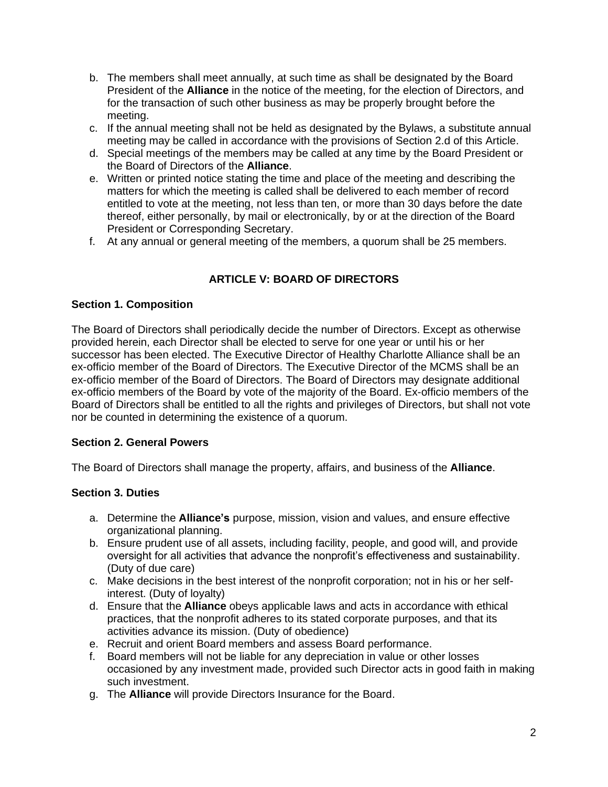- b. The members shall meet annually, at such time as shall be designated by the Board President of the **Alliance** in the notice of the meeting, for the election of Directors, and for the transaction of such other business as may be properly brought before the meeting.
- c. If the annual meeting shall not be held as designated by the Bylaws, a substitute annual meeting may be called in accordance with the provisions of Section 2.d of this Article.
- d. Special meetings of the members may be called at any time by the Board President or the Board of Directors of the **Alliance**.
- e. Written or printed notice stating the time and place of the meeting and describing the matters for which the meeting is called shall be delivered to each member of record entitled to vote at the meeting, not less than ten, or more than 30 days before the date thereof, either personally, by mail or electronically, by or at the direction of the Board President or Corresponding Secretary.
- f. At any annual or general meeting of the members, a quorum shall be 25 members.

# **ARTICLE V: BOARD OF DIRECTORS**

## **Section 1. Composition**

The Board of Directors shall periodically decide the number of Directors. Except as otherwise provided herein, each Director shall be elected to serve for one year or until his or her successor has been elected. The Executive Director of Healthy Charlotte Alliance shall be an ex-officio member of the Board of Directors. The Executive Director of the MCMS shall be an ex-officio member of the Board of Directors. The Board of Directors may designate additional ex-officio members of the Board by vote of the majority of the Board. Ex-officio members of the Board of Directors shall be entitled to all the rights and privileges of Directors, but shall not vote nor be counted in determining the existence of a quorum.

# **Section 2. General Powers**

The Board of Directors shall manage the property, affairs, and business of the **Alliance**.

# **Section 3. Duties**

- a. Determine the **Alliance's** purpose, mission, vision and values, and ensure effective organizational planning.
- b. Ensure prudent use of all assets, including facility, people, and good will, and provide oversight for all activities that advance the nonprofit's effectiveness and sustainability. (Duty of due care)
- c. Make decisions in the best interest of the nonprofit corporation; not in his or her selfinterest. (Duty of loyalty)
- d. Ensure that the **Alliance** obeys applicable laws and acts in accordance with ethical practices, that the nonprofit adheres to its stated corporate purposes, and that its activities advance its mission. (Duty of obedience)
- e. Recruit and orient Board members and assess Board performance.
- f. Board members will not be liable for any depreciation in value or other losses occasioned by any investment made, provided such Director acts in good faith in making such investment.
- g. The **Alliance** will provide Directors Insurance for the Board.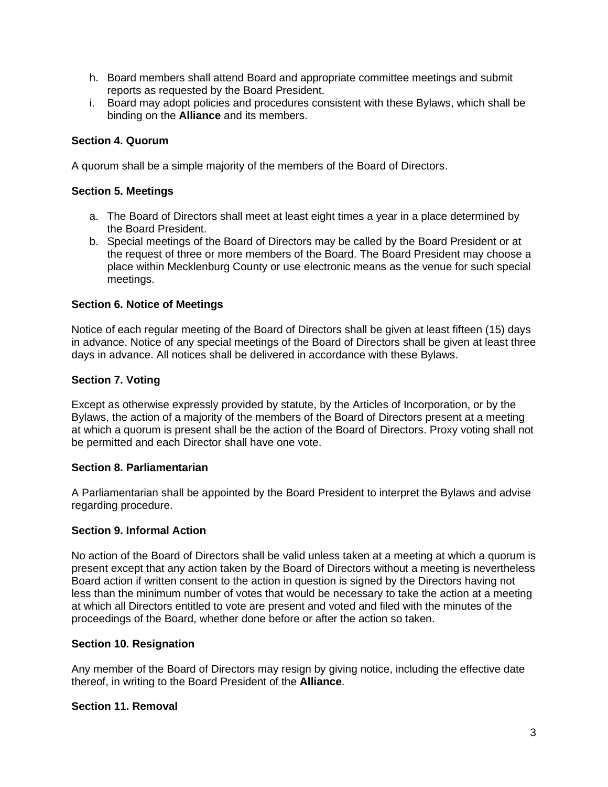- h. Board members shall attend Board and appropriate committee meetings and submit reports as requested by the Board President.
- i. Board may adopt policies and procedures consistent with these Bylaws, which shall be binding on the **Alliance** and its members.

# **Section 4. Quorum**

A quorum shall be a simple majority of the members of the Board of Directors.

#### **Section 5. Meetings**

- a. The Board of Directors shall meet at least eight times a year in a place determined by the Board President.
- b. Special meetings of the Board of Directors may be called by the Board President or at the request of three or more members of the Board. The Board President may choose a place within Mecklenburg County or use electronic means as the venue for such special meetings.

## **Section 6. Notice of Meetings**

Notice of each regular meeting of the Board of Directors shall be given at least fifteen (15) days in advance. Notice of any special meetings of the Board of Directors shall be given at least three days in advance. All notices shall be delivered in accordance with these Bylaws.

## **Section 7. Voting**

Except as otherwise expressly provided by statute, by the Articles of Incorporation, or by the Bylaws, the action of a majority of the members of the Board of Directors present at a meeting at which a quorum is present shall be the action of the Board of Directors. Proxy voting shall not be permitted and each Director shall have one vote.

#### **Section 8. Parliamentarian**

A Parliamentarian shall be appointed by the Board President to interpret the Bylaws and advise regarding procedure.

## **Section 9. Informal Action**

No action of the Board of Directors shall be valid unless taken at a meeting at which a quorum is present except that any action taken by the Board of Directors without a meeting is nevertheless Board action if written consent to the action in question is signed by the Directors having not less than the minimum number of votes that would be necessary to take the action at a meeting at which all Directors entitled to vote are present and voted and filed with the minutes of the proceedings of the Board, whether done before or after the action so taken.

## **Section 10. Resignation**

Any member of the Board of Directors may resign by giving notice, including the effective date thereof, in writing to the Board President of the **Alliance**.

## **Section 11. Removal**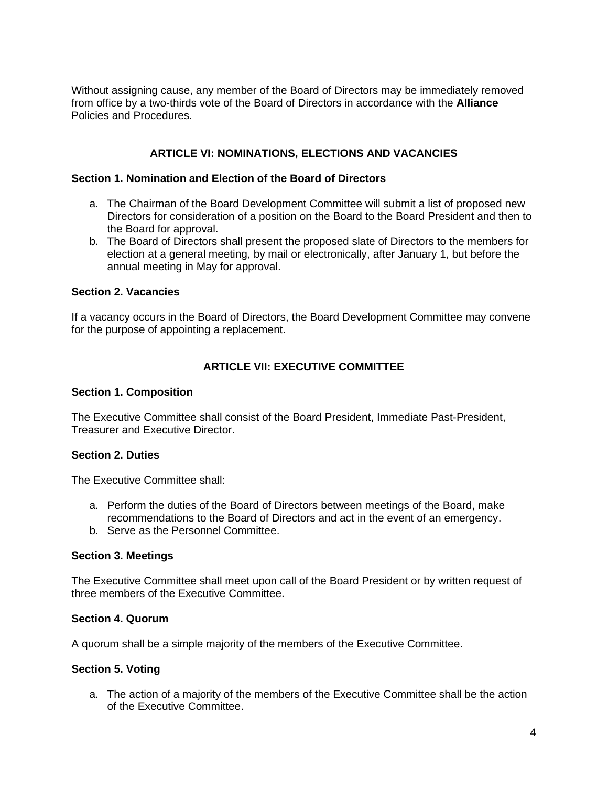Without assigning cause, any member of the Board of Directors may be immediately removed from office by a two-thirds vote of the Board of Directors in accordance with the **Alliance** Policies and Procedures.

# **ARTICLE VI: NOMINATIONS, ELECTIONS AND VACANCIES**

#### **Section 1. Nomination and Election of the Board of Directors**

- a. The Chairman of the Board Development Committee will submit a list of proposed new Directors for consideration of a position on the Board to the Board President and then to the Board for approval.
- b. The Board of Directors shall present the proposed slate of Directors to the members for election at a general meeting, by mail or electronically, after January 1, but before the annual meeting in May for approval.

#### **Section 2. Vacancies**

If a vacancy occurs in the Board of Directors, the Board Development Committee may convene for the purpose of appointing a replacement.

# **ARTICLE VII: EXECUTIVE COMMITTEE**

#### **Section 1. Composition**

The Executive Committee shall consist of the Board President, Immediate Past-President, Treasurer and Executive Director.

## **Section 2. Duties**

The Executive Committee shall:

- a. Perform the duties of the Board of Directors between meetings of the Board, make recommendations to the Board of Directors and act in the event of an emergency.
- b. Serve as the Personnel Committee.

#### **Section 3. Meetings**

The Executive Committee shall meet upon call of the Board President or by written request of three members of the Executive Committee.

#### **Section 4. Quorum**

A quorum shall be a simple majority of the members of the Executive Committee.

## **Section 5. Voting**

a. The action of a majority of the members of the Executive Committee shall be the action of the Executive Committee.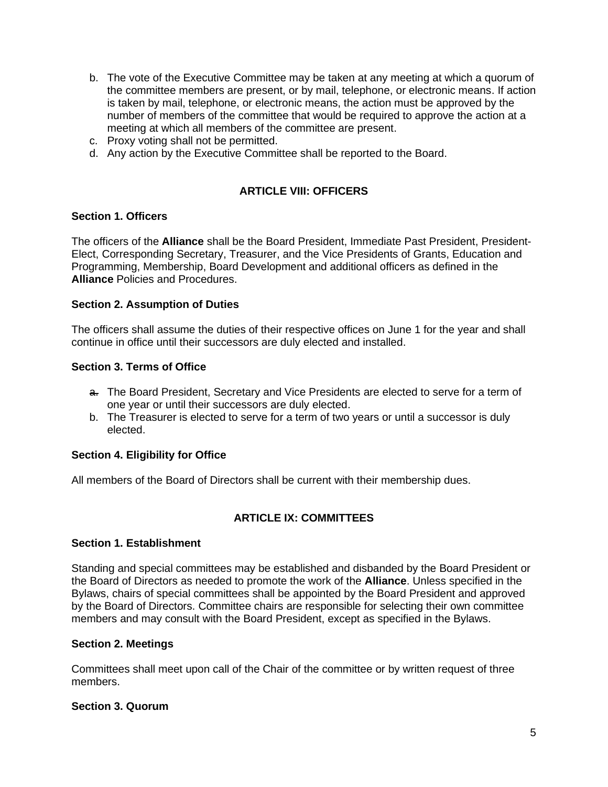- b. The vote of the Executive Committee may be taken at any meeting at which a quorum of the committee members are present, or by mail, telephone, or electronic means. If action is taken by mail, telephone, or electronic means, the action must be approved by the number of members of the committee that would be required to approve the action at a meeting at which all members of the committee are present.
- c. Proxy voting shall not be permitted.
- d. Any action by the Executive Committee shall be reported to the Board.

# **ARTICLE VIII: OFFICERS**

#### **Section 1. Officers**

The officers of the **Alliance** shall be the Board President, Immediate Past President, President-Elect, Corresponding Secretary, Treasurer, and the Vice Presidents of Grants, Education and Programming, Membership, Board Development and additional officers as defined in the **Alliance** Policies and Procedures.

#### **Section 2. Assumption of Duties**

The officers shall assume the duties of their respective offices on June 1 for the year and shall continue in office until their successors are duly elected and installed.

#### **Section 3. Terms of Office**

- a. The Board President, Secretary and Vice Presidents are elected to serve for a term of one year or until their successors are duly elected.
- b. The Treasurer is elected to serve for a term of two years or until a successor is duly elected.

## **Section 4. Eligibility for Office**

All members of the Board of Directors shall be current with their membership dues.

## **ARTICLE IX: COMMITTEES**

#### **Section 1. Establishment**

Standing and special committees may be established and disbanded by the Board President or the Board of Directors as needed to promote the work of the **Alliance**. Unless specified in the Bylaws, chairs of special committees shall be appointed by the Board President and approved by the Board of Directors. Committee chairs are responsible for selecting their own committee members and may consult with the Board President, except as specified in the Bylaws.

#### **Section 2. Meetings**

Committees shall meet upon call of the Chair of the committee or by written request of three members.

#### **Section 3. Quorum**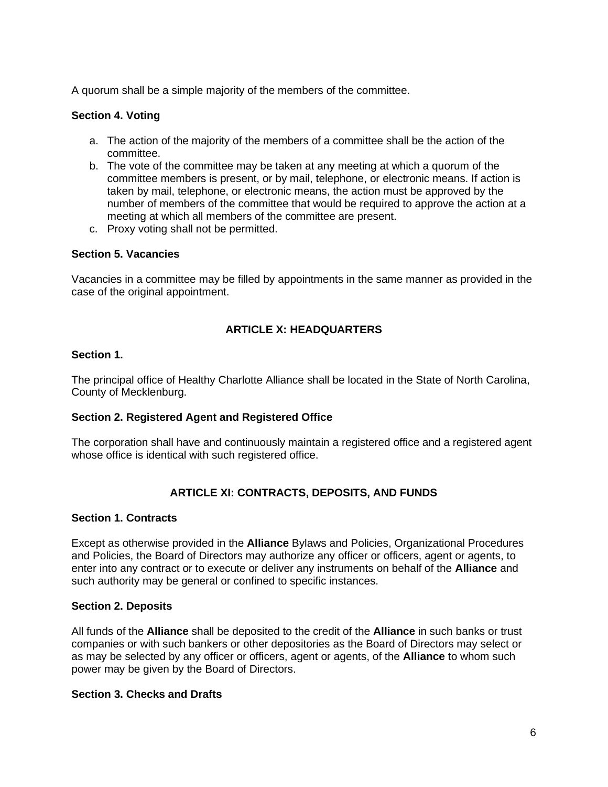A quorum shall be a simple majority of the members of the committee.

## **Section 4. Voting**

- a. The action of the majority of the members of a committee shall be the action of the committee.
- b. The vote of the committee may be taken at any meeting at which a quorum of the committee members is present, or by mail, telephone, or electronic means. If action is taken by mail, telephone, or electronic means, the action must be approved by the number of members of the committee that would be required to approve the action at a meeting at which all members of the committee are present.
- c. Proxy voting shall not be permitted.

#### **Section 5. Vacancies**

Vacancies in a committee may be filled by appointments in the same manner as provided in the case of the original appointment.

# **ARTICLE X: HEADQUARTERS**

#### **Section 1.**

The principal office of Healthy Charlotte Alliance shall be located in the State of North Carolina, County of Mecklenburg.

## **Section 2. Registered Agent and Registered Office**

The corporation shall have and continuously maintain a registered office and a registered agent whose office is identical with such registered office.

## **ARTICLE XI: CONTRACTS, DEPOSITS, AND FUNDS**

#### **Section 1. Contracts**

Except as otherwise provided in the **Alliance** Bylaws and Policies, Organizational Procedures and Policies, the Board of Directors may authorize any officer or officers, agent or agents, to enter into any contract or to execute or deliver any instruments on behalf of the **Alliance** and such authority may be general or confined to specific instances.

#### **Section 2. Deposits**

All funds of the **Alliance** shall be deposited to the credit of the **Alliance** in such banks or trust companies or with such bankers or other depositories as the Board of Directors may select or as may be selected by any officer or officers, agent or agents, of the **Alliance** to whom such power may be given by the Board of Directors.

#### **Section 3. Checks and Drafts**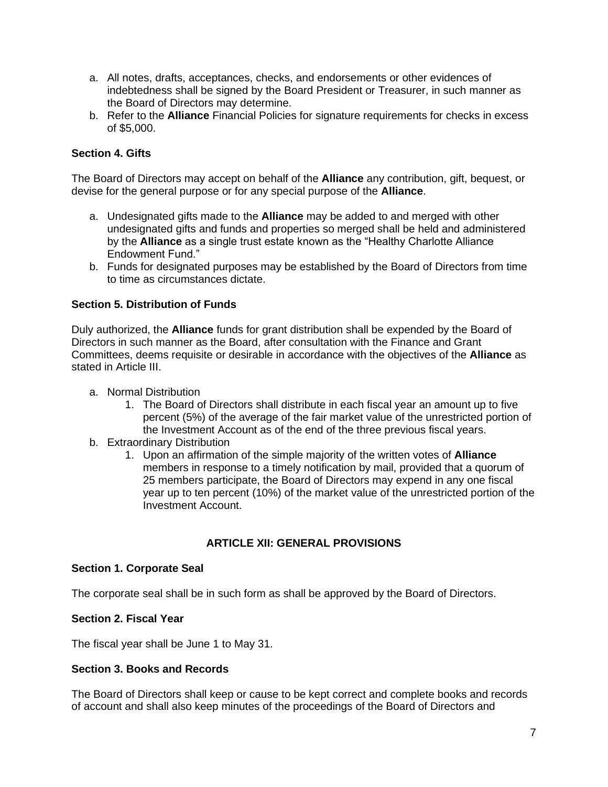- a. All notes, drafts, acceptances, checks, and endorsements or other evidences of indebtedness shall be signed by the Board President or Treasurer, in such manner as the Board of Directors may determine.
- b. Refer to the **Alliance** Financial Policies for signature requirements for checks in excess of \$5,000.

# **Section 4. Gifts**

The Board of Directors may accept on behalf of the **Alliance** any contribution, gift, bequest, or devise for the general purpose or for any special purpose of the **Alliance**.

- a. Undesignated gifts made to the **Alliance** may be added to and merged with other undesignated gifts and funds and properties so merged shall be held and administered by the **Alliance** as a single trust estate known as the "Healthy Charlotte Alliance Endowment Fund."
- b. Funds for designated purposes may be established by the Board of Directors from time to time as circumstances dictate.

## **Section 5. Distribution of Funds**

Duly authorized, the **Alliance** funds for grant distribution shall be expended by the Board of Directors in such manner as the Board, after consultation with the Finance and Grant Committees, deems requisite or desirable in accordance with the objectives of the **Alliance** as stated in Article III.

- a. Normal Distribution
	- 1. The Board of Directors shall distribute in each fiscal year an amount up to five percent (5%) of the average of the fair market value of the unrestricted portion of the Investment Account as of the end of the three previous fiscal years.
- b. Extraordinary Distribution
	- 1. Upon an affirmation of the simple majority of the written votes of **Alliance** members in response to a timely notification by mail, provided that a quorum of 25 members participate, the Board of Directors may expend in any one fiscal year up to ten percent (10%) of the market value of the unrestricted portion of the Investment Account.

## **ARTICLE XII: GENERAL PROVISIONS**

## **Section 1. Corporate Seal**

The corporate seal shall be in such form as shall be approved by the Board of Directors.

## **Section 2. Fiscal Year**

The fiscal year shall be June 1 to May 31.

## **Section 3. Books and Records**

The Board of Directors shall keep or cause to be kept correct and complete books and records of account and shall also keep minutes of the proceedings of the Board of Directors and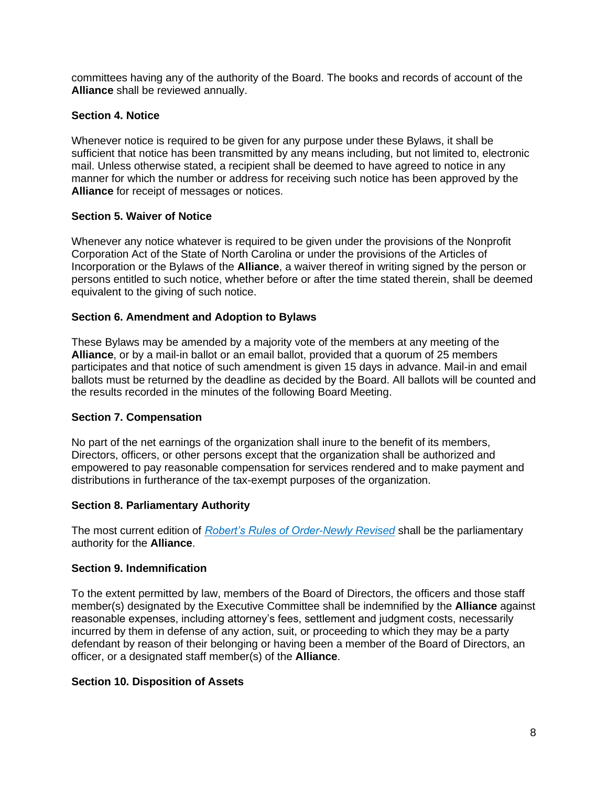committees having any of the authority of the Board. The books and records of account of the **Alliance** shall be reviewed annually.

## **Section 4. Notice**

Whenever notice is required to be given for any purpose under these Bylaws, it shall be sufficient that notice has been transmitted by any means including, but not limited to, electronic mail. Unless otherwise stated, a recipient shall be deemed to have agreed to notice in any manner for which the number or address for receiving such notice has been approved by the **Alliance** for receipt of messages or notices.

## **Section 5. Waiver of Notice**

Whenever any notice whatever is required to be given under the provisions of the Nonprofit Corporation Act of the State of North Carolina or under the provisions of the Articles of Incorporation or the Bylaws of the **Alliance**, a waiver thereof in writing signed by the person or persons entitled to such notice, whether before or after the time stated therein, shall be deemed equivalent to the giving of such notice.

## **Section 6. Amendment and Adoption to Bylaws**

These Bylaws may be amended by a majority vote of the members at any meeting of the **Alliance**, or by a mail-in ballot or an email ballot, provided that a quorum of 25 members participates and that notice of such amendment is given 15 days in advance. Mail-in and email ballots must be returned by the deadline as decided by the Board. All ballots will be counted and the results recorded in the minutes of the following Board Meeting.

## **Section 7. Compensation**

No part of the net earnings of the organization shall inure to the benefit of its members, Directors, officers, or other persons except that the organization shall be authorized and empowered to pay reasonable compensation for services rendered and to make payment and distributions in furtherance of the tax-exempt purposes of the organization.

## **Section 8. Parliamentary Authority**

The most current edition of *Robert's Rules of Order-Newly Revised* shall be the parliamentary authority for the **Alliance**.

## **Section 9. Indemnification**

To the extent permitted by law, members of the Board of Directors, the officers and those staff member(s) designated by the Executive Committee shall be indemnified by the **Alliance** against reasonable expenses, including attorney's fees, settlement and judgment costs, necessarily incurred by them in defense of any action, suit, or proceeding to which they may be a party defendant by reason of their belonging or having been a member of the Board of Directors, an officer, or a designated staff member(s) of the **Alliance**.

# **Section 10. Disposition of Assets**